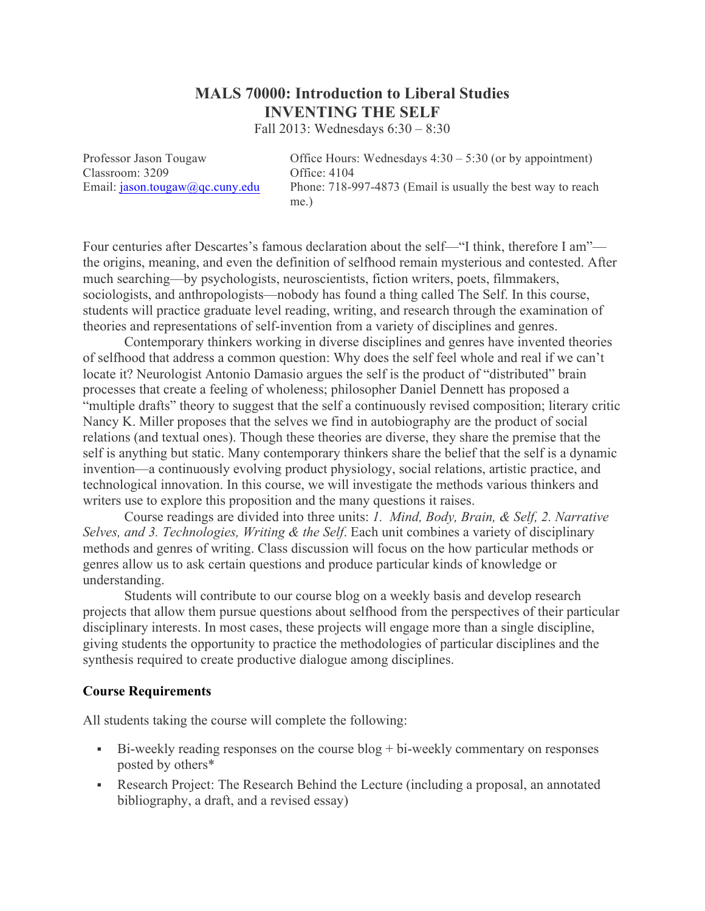# **MALS 70000: Introduction to Liberal Studies INVENTING THE SELF**

Fall 2013: Wednesdays 6:30 – 8:30

Classroom: 3209 Office: 4104

Professor Jason Tougaw Office Hours: Wednesdays  $4:30 - 5:30$  (or by appointment) Email: jason.tougaw@qc.cuny.edu Phone: 718-997-4873 (Email is usually the best way to reach me.)

Four centuries after Descartes's famous declaration about the self—"I think, therefore I am" the origins, meaning, and even the definition of selfhood remain mysterious and contested. After much searching—by psychologists, neuroscientists, fiction writers, poets, filmmakers, sociologists, and anthropologists—nobody has found a thing called The Self. In this course, students will practice graduate level reading, writing, and research through the examination of theories and representations of self-invention from a variety of disciplines and genres.

Contemporary thinkers working in diverse disciplines and genres have invented theories of selfhood that address a common question: Why does the self feel whole and real if we can't locate it? Neurologist Antonio Damasio argues the self is the product of "distributed" brain processes that create a feeling of wholeness; philosopher Daniel Dennett has proposed a "multiple drafts" theory to suggest that the self a continuously revised composition; literary critic Nancy K. Miller proposes that the selves we find in autobiography are the product of social relations (and textual ones). Though these theories are diverse, they share the premise that the self is anything but static. Many contemporary thinkers share the belief that the self is a dynamic invention—a continuously evolving product physiology, social relations, artistic practice, and technological innovation. In this course, we will investigate the methods various thinkers and writers use to explore this proposition and the many questions it raises.

Course readings are divided into three units: *1. Mind, Body, Brain, & Self, 2. Narrative Selves, and 3. Technologies, Writing & the Self*. Each unit combines a variety of disciplinary methods and genres of writing. Class discussion will focus on the how particular methods or genres allow us to ask certain questions and produce particular kinds of knowledge or understanding.

Students will contribute to our course blog on a weekly basis and develop research projects that allow them pursue questions about selfhood from the perspectives of their particular disciplinary interests. In most cases, these projects will engage more than a single discipline, giving students the opportunity to practice the methodologies of particular disciplines and the synthesis required to create productive dialogue among disciplines.

#### **Course Requirements**

All students taking the course will complete the following:

- ! Bi-weekly reading responses on the course blog + bi-weekly commentary on responses posted by others\*
- ! Research Project: The Research Behind the Lecture (including a proposal, an annotated bibliography, a draft, and a revised essay)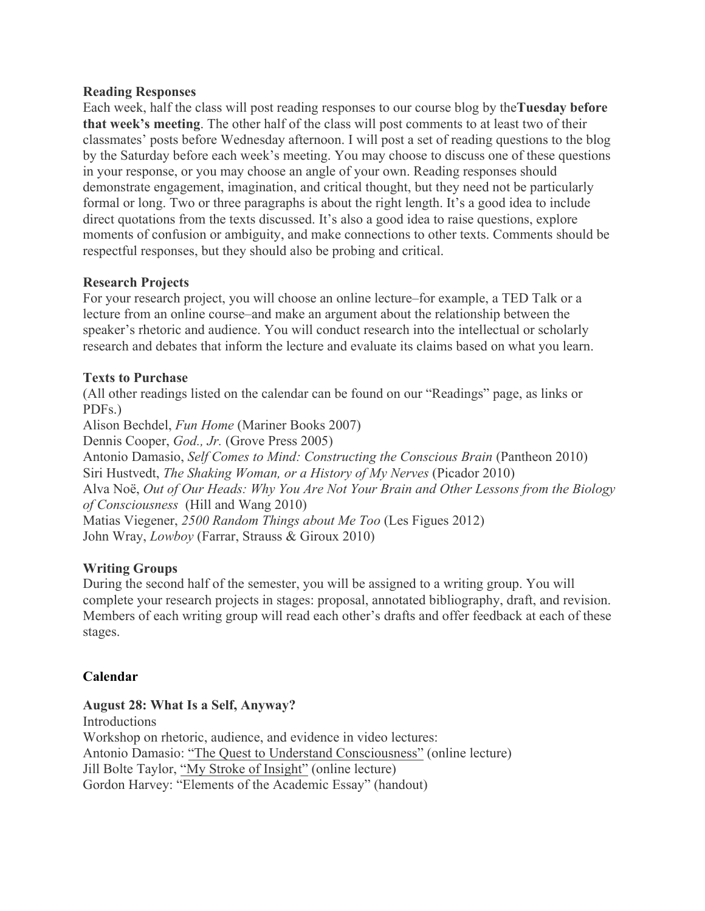#### **Reading Responses**

Each week, half the class will post reading responses to our course blog by the**Tuesday before that week's meeting**. The other half of the class will post comments to at least two of their classmates' posts before Wednesday afternoon. I will post a set of reading questions to the blog by the Saturday before each week's meeting. You may choose to discuss one of these questions in your response, or you may choose an angle of your own. Reading responses should demonstrate engagement, imagination, and critical thought, but they need not be particularly formal or long. Two or three paragraphs is about the right length. It's a good idea to include direct quotations from the texts discussed. It's also a good idea to raise questions, explore moments of confusion or ambiguity, and make connections to other texts. Comments should be respectful responses, but they should also be probing and critical.

# **Research Projects**

For your research project, you will choose an online lecture–for example, a TED Talk or a lecture from an online course–and make an argument about the relationship between the speaker's rhetoric and audience. You will conduct research into the intellectual or scholarly research and debates that inform the lecture and evaluate its claims based on what you learn.

#### **Texts to Purchase**

(All other readings listed on the calendar can be found on our "Readings" page, as links or PDFs.)

Alison Bechdel, *Fun Home* (Mariner Books 2007) Dennis Cooper, *God., Jr.* (Grove Press 2005) Antonio Damasio, *Self Comes to Mind: Constructing the Conscious Brain* (Pantheon 2010) Siri Hustvedt, *The Shaking Woman, or a History of My Nerves* (Picador 2010) Alva Noë, *Out of Our Heads: Why You Are Not Your Brain and Other Lessons from the Biology of Consciousness* (Hill and Wang 2010) Matias Viegener, *2500 Random Things about Me Too* (Les Figues 2012) John Wray, *Lowboy* (Farrar, Strauss & Giroux 2010)

# **Writing Groups**

During the second half of the semester, you will be assigned to a writing group. You will complete your research projects in stages: proposal, annotated bibliography, draft, and revision. Members of each writing group will read each other's drafts and offer feedback at each of these stages.

# **Calendar**

# **August 28: What Is a Self, Anyway?**

Introductions Workshop on rhetoric, audience, and evidence in video lectures: Antonio Damasio: "The Quest to Understand Consciousness" (online lecture) Jill Bolte Taylor, "My Stroke of Insight" (online lecture) Gordon Harvey: "Elements of the Academic Essay" (handout)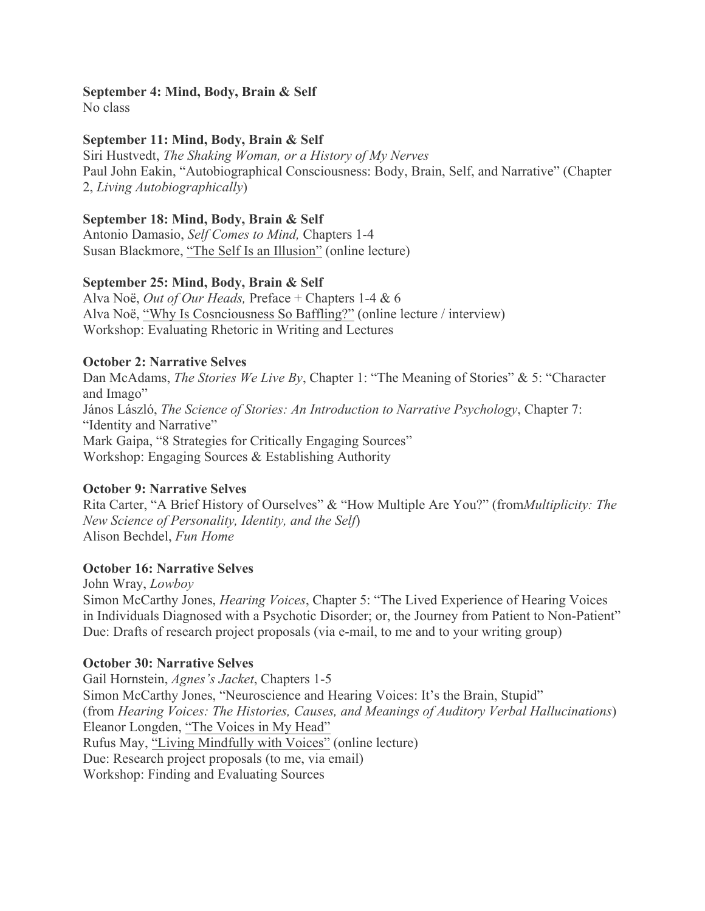#### **September 4: Mind, Body, Brain & Self**

No class

#### **September 11: Mind, Body, Brain & Self**

Siri Hustvedt, *The Shaking Woman, or a History of My Nerves* Paul John Eakin, "Autobiographical Consciousness: Body, Brain, Self, and Narrative" (Chapter 2, *Living Autobiographically*)

#### **September 18: Mind, Body, Brain & Self**

Antonio Damasio, *Self Comes to Mind,* Chapters 1-4 Susan Blackmore, "The Self Is an Illusion" (online lecture)

#### **September 25: Mind, Body, Brain & Self**

Alva Noë, *Out of Our Heads,* Preface + Chapters 1-4 & 6 Alva Noë, "Why Is Cosnciousness So Baffling?" (online lecture / interview) Workshop: Evaluating Rhetoric in Writing and Lectures

#### **October 2: Narrative Selves**

Dan McAdams, *The Stories We Live By*, Chapter 1: "The Meaning of Stories" & 5: "Character and Imago" János László, *The Science of Stories: An Introduction to Narrative Psychology*, Chapter 7: "Identity and Narrative" Mark Gaipa, "8 Strategies for Critically Engaging Sources" Workshop: Engaging Sources & Establishing Authority

# **October 9: Narrative Selves**

Rita Carter, "A Brief History of Ourselves" & "How Multiple Are You?" (from*Multiplicity: The New Science of Personality, Identity, and the Self*) Alison Bechdel, *Fun Home*

#### **October 16: Narrative Selves**

John Wray, *Lowboy* Simon McCarthy Jones, *Hearing Voices*, Chapter 5: "The Lived Experience of Hearing Voices in Individuals Diagnosed with a Psychotic Disorder; or, the Journey from Patient to Non-Patient" Due: Drafts of research project proposals (via e-mail, to me and to your writing group)

#### **October 30: Narrative Selves**

Gail Hornstein, *Agnes's Jacket*, Chapters 1-5 Simon McCarthy Jones, "Neuroscience and Hearing Voices: It's the Brain, Stupid" (from *Hearing Voices: The Histories, Causes, and Meanings of Auditory Verbal Hallucinations*) Eleanor Longden, "The Voices in My Head" Rufus May, "Living Mindfully with Voices" (online lecture) Due: Research project proposals (to me, via email) Workshop: Finding and Evaluating Sources